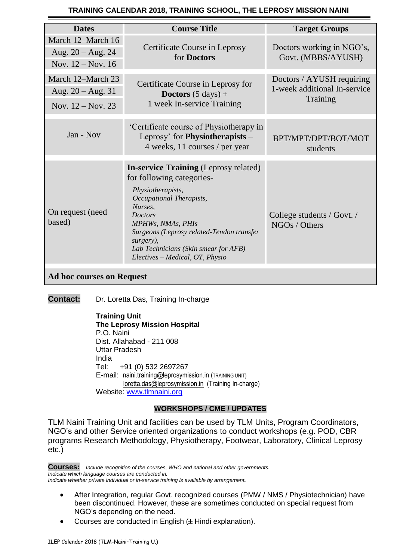## **TRAINING CALENDAR 2018, TRAINING SCHOOL, THE LEPROSY MISSION NAINI**

| <b>Dates</b>                                                    | <b>Course Title</b>                                                                                                                                                                                                                                                                                               | <b>Target Groups</b>                                                  |
|-----------------------------------------------------------------|-------------------------------------------------------------------------------------------------------------------------------------------------------------------------------------------------------------------------------------------------------------------------------------------------------------------|-----------------------------------------------------------------------|
| March 12-March 16<br>Aug. $20 - Aug. 24$<br>Nov. $12 - Nov. 16$ | Certificate Course in Leprosy<br>for Doctors                                                                                                                                                                                                                                                                      | Doctors working in NGO's,<br>Govt. (MBBS/AYUSH)                       |
| March 12-March 23<br>Aug. $20 - Aug. 31$<br>Nov. $12 - Nov. 23$ | Certificate Course in Leprosy for<br><b>Doctors</b> $(5 \text{ days}) +$<br>1 week In-service Training                                                                                                                                                                                                            | Doctors / AYUSH requiring<br>1-week additional In-service<br>Training |
| Jan - Nov                                                       | 'Certificate course of Physiotherapy in<br>Leprosy' for Physiotherapists -<br>4 weeks, 11 courses / per year                                                                                                                                                                                                      | BPT/MPT/DPT/BOT/MOT<br>students                                       |
| On request (need<br>based)                                      | <b>In-service Training (Leprosy related)</b><br>for following categories-<br>Physiotherapists,<br>Occupational Therapists,<br>Nurses,<br><b>Doctors</b><br>MPHWs, NMAs, PHIs<br>Surgeons (Leprosy related-Tendon transfer<br>surgery),<br>Lab Technicians (Skin smear for AFB)<br>Electives – Medical, OT, Physio | College students / Govt. /<br>NGOs / Others                           |
| <b>Ad hoc courses on Request</b>                                |                                                                                                                                                                                                                                                                                                                   |                                                                       |

**Contact:** Dr. Loretta Das, Training In-charge

**Training Unit The Leprosy Mission Hospital** P.O. Naini Dist. Allahabad - 211 008 Uttar Pradesh India Tel: +91 (0) 532 2697267 E-mail: naini.training@leprosymission.in (TRAINING UNIT) [loretta.das@leprosymission.in](mailto:loretta.das@leprosymission.in) (Training In-charge) Website: [www.tlmnaini.org](http://www.tlmnaini.org/)

# **WORKSHOPS / CME / UPDATES**

TLM Naini Training Unit and facilities can be used by TLM Units, Program Coordinators, NGO's and other Service oriented organizations to conduct workshops (e.g. POD, CBR programs Research Methodology, Physiotherapy, Footwear, Laboratory, Clinical Leprosy etc.)

**Courses:** *Include recognition of the courses, WHO and national and other governments. Indicate which language courses are conducted in. Indicate whether private individual or in-service training is available by arrangement.*

- After Integration, regular Govt. recognized courses (PMW / NMS / Physiotechnician) have been discontinued. However, these are sometimes conducted on special request from NGO's depending on the need.
- Courses are conducted in English  $(\pm$  Hindi explanation).